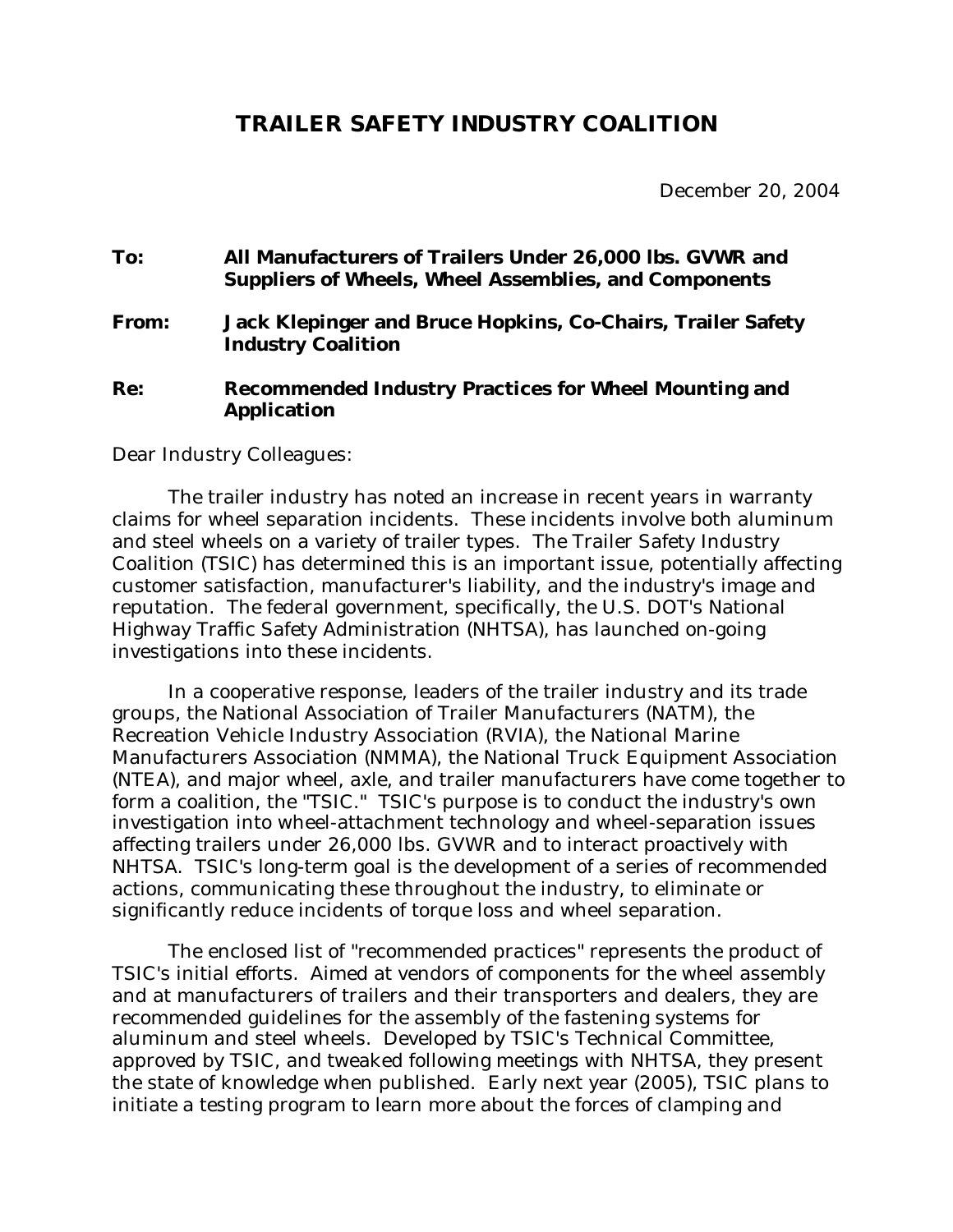## **TRAILER SAFETY INDUSTRY COALITION**

December 20, 2004

# **To: All Manufacturers of Trailers Under 26,000 lbs. GVWR and Suppliers of Wheels, Wheel Assemblies, and Components From: Jack Klepinger and Bruce Hopkins, Co-Chairs, Trailer Safety Industry Coalition Re: Recommended Industry Practices for Wheel Mounting and Application**

Dear Industry Colleagues:

The trailer industry has noted an increase in recent years in warranty claims for wheel separation incidents. These incidents involve both aluminum and steel wheels on a variety of trailer types. The Trailer Safety Industry Coalition (TSIC) has determined this is an important issue, potentially affecting customer satisfaction, manufacturer's liability, and the industry's image and reputation. The federal government, specifically, the U.S. DOT's National Highway Traffic Safety Administration (NHTSA), has launched on-going investigations into these incidents.

In a cooperative response, leaders of the trailer industry and its trade groups, the National Association of Trailer Manufacturers (NATM), the Recreation Vehicle Industry Association (RVIA), the National Marine Manufacturers Association (NMMA), the National Truck Equipment Association (NTEA), and major wheel, axle, and trailer manufacturers have come together to form a coalition, the "TSIC." TSIC's purpose is to conduct the industry's own investigation into wheel-attachment technology and wheel-separation issues affecting trailers under 26,000 lbs. GVWR and to interact proactively with NHTSA. TSIC's long-term goal is the development of a series of recommended actions, communicating these throughout the industry, to eliminate or significantly reduce incidents of torque loss and wheel separation.

The enclosed list of "recommended practices" represents the product of TSIC's initial efforts. Aimed at vendors of components for the wheel assembly and at manufacturers of trailers and their transporters and dealers, they are recommended guidelines for the assembly of the fastening systems for aluminum and steel wheels. Developed by TSIC's Technical Committee, approved by TSIC, and tweaked following meetings with NHTSA, they present the state of knowledge when published. Early next year (2005), TSIC plans to initiate a testing program to learn more about the forces of clamping and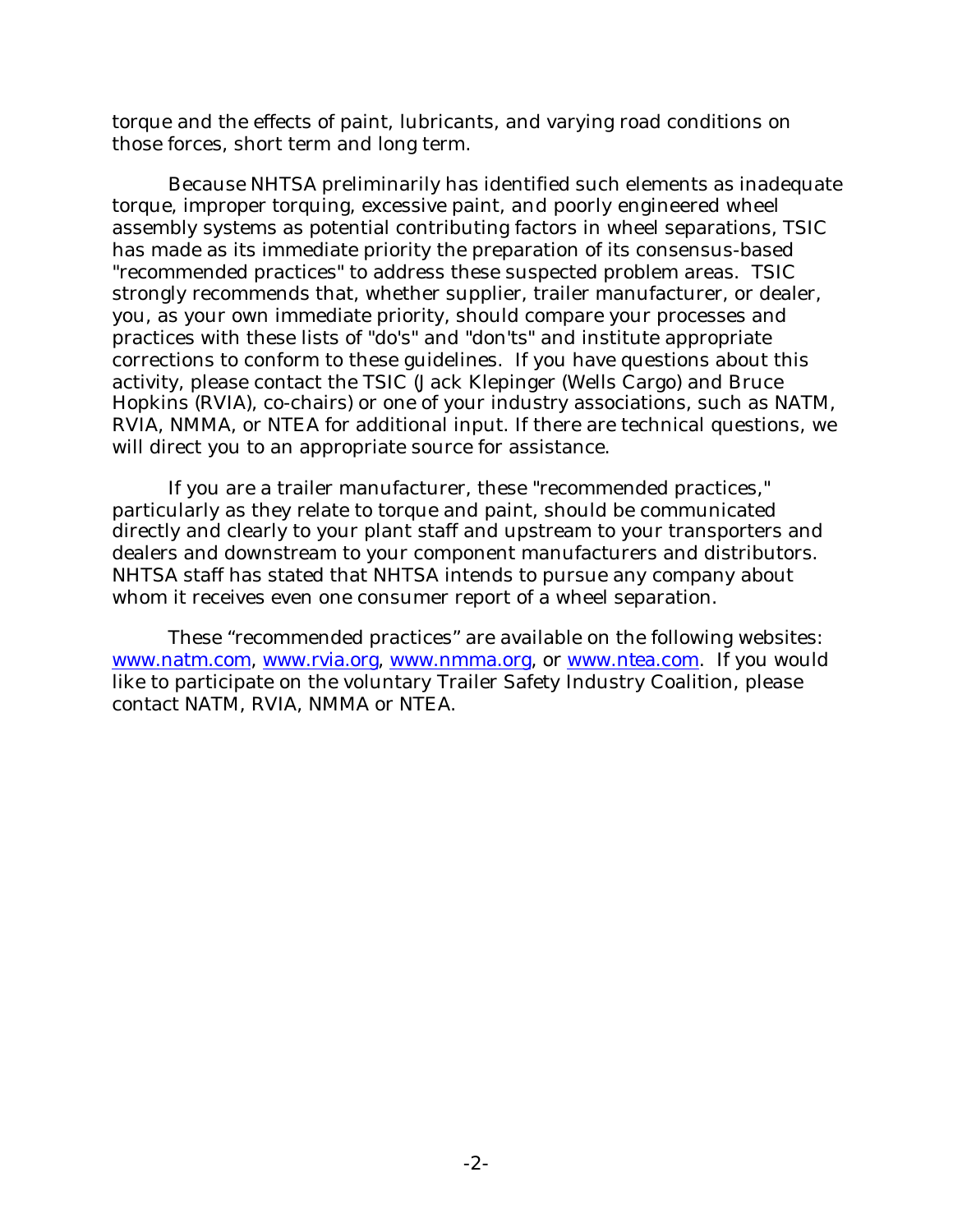torque and the effects of paint, lubricants, and varying road conditions on those forces, short term and long term.

Because NHTSA preliminarily has identified such elements as inadequate torque, improper torquing, excessive paint, and poorly engineered wheel assembly systems as potential contributing factors in wheel separations, TSIC has made as its immediate priority the preparation of its consensus-based "recommended practices" to address these suspected problem areas. TSIC strongly recommends that, whether supplier, trailer manufacturer, or dealer, you, as your own immediate priority, should compare your processes and practices with these lists of "do's" and "don'ts" and institute appropriate corrections to conform to these guidelines. If you have questions about this activity, please contact the TSIC (Jack Klepinger (Wells Cargo) and Bruce Hopkins (RVIA), co-chairs) or one of your industry associations, such as NATM, RVIA, NMMA, or NTEA for additional input. If there are technical questions, we will direct you to an appropriate source for assistance.

If you are a trailer manufacturer, these "recommended practices," particularly as they relate to torque and paint, should be communicated directly and clearly to your plant staff and upstream to your transporters and dealers and downstream to your component manufacturers and distributors. NHTSA staff has stated that NHTSA intends to pursue any company about whom it receives even one consumer report of a wheel separation.

These "recommended practices" are available on the following websites: www.natm.com, www.rvia.org, www.nmma.org, or www.ntea.com. If you would like to participate on the voluntary Trailer Safety Industry Coalition, please contact NATM, RVIA, NMMA or NTEA.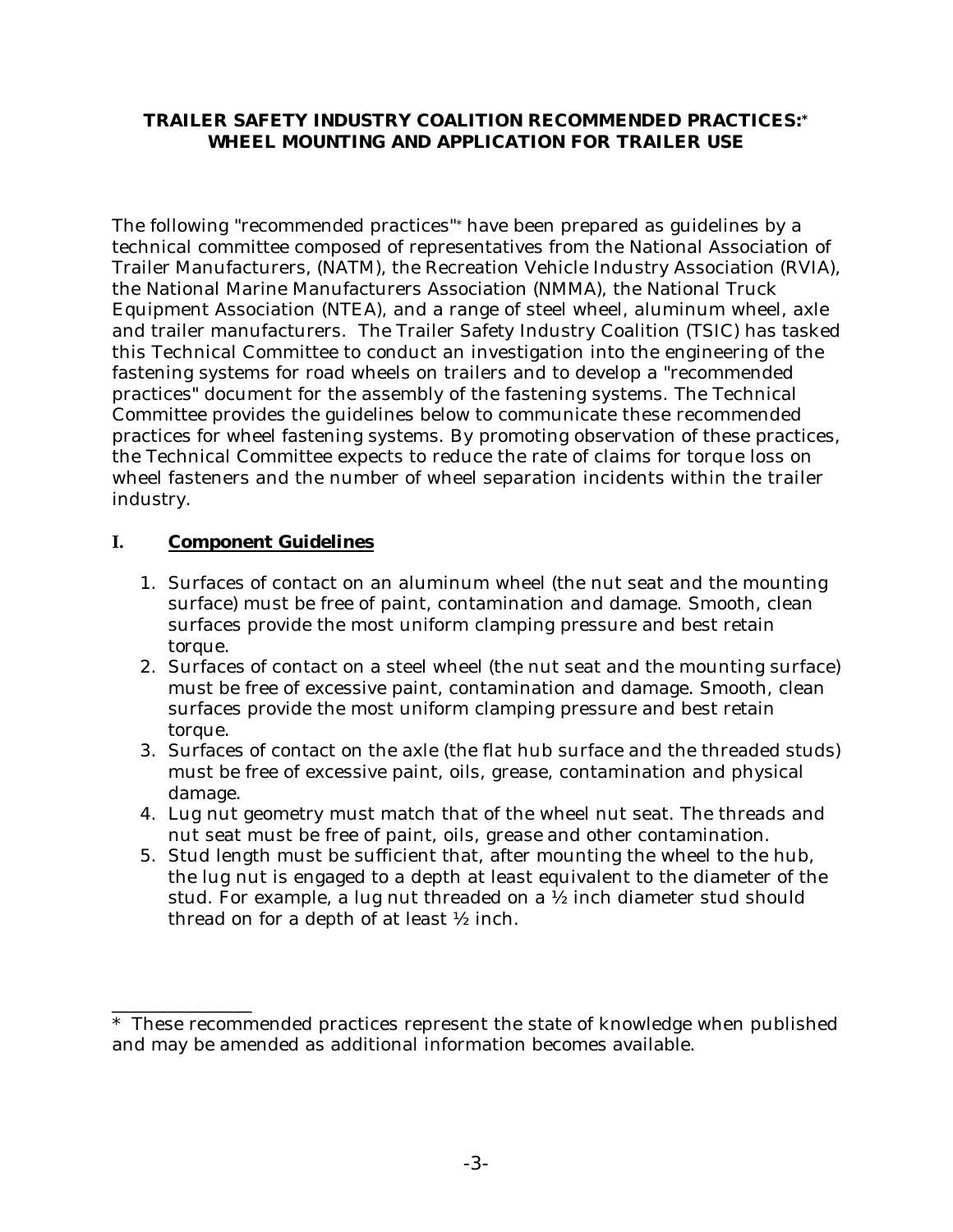#### **TRAILER SAFETY INDUSTRY COALITION RECOMMENDED PRACTICES:\* WHEEL MOUNTING AND APPLICATION FOR TRAILER USE**

The following "recommended practices"\* have been prepared as guidelines by a technical committee composed of representatives from the National Association of Trailer Manufacturers, (NATM), the Recreation Vehicle Industry Association (RVIA), the National Marine Manufacturers Association (NMMA), the National Truck Equipment Association (NTEA), and a range of steel wheel, aluminum wheel, axle and trailer manufacturers. The Trailer Safety Industry Coalition (TSIC) has tasked this Technical Committee to conduct an investigation into the engineering of the fastening systems for road wheels on trailers and to develop a "recommended practices" document for the assembly of the fastening systems. The Technical Committee provides the guidelines below to communicate these recommended practices for wheel fastening systems. By promoting observation of these practices, the Technical Committee expects to reduce the rate of claims for torque loss on wheel fasteners and the number of wheel separation incidents within the trailer industry.

### **I. Component Guidelines**

\_\_\_\_\_\_\_\_\_\_\_\_\_\_\_

- 1. Surfaces of contact on an aluminum wheel (the nut seat and the mounting surface) must be free of paint, contamination and damage. Smooth, clean surfaces provide the most uniform clamping pressure and best retain torque.
- 2. Surfaces of contact on a steel wheel (the nut seat and the mounting surface) must be free of excessive paint, contamination and damage. Smooth, clean surfaces provide the most uniform clamping pressure and best retain torque.
- 3. Surfaces of contact on the axle (the flat hub surface and the threaded studs) must be free of excessive paint, oils, grease, contamination and physical damage.
- 4. Lug nut geometry must match that of the wheel nut seat. The threads and nut seat must be free of paint, oils, grease and other contamination.
- 5. Stud length must be sufficient that, after mounting the wheel to the hub, the lug nut is engaged to a depth at least equivalent to the diameter of the stud. For example, a lug nut threaded on a ½ inch diameter stud should thread on for a depth of at least ½ inch.

<sup>\*</sup> These recommended practices represent the state of knowledge when published and may be amended as additional information becomes available.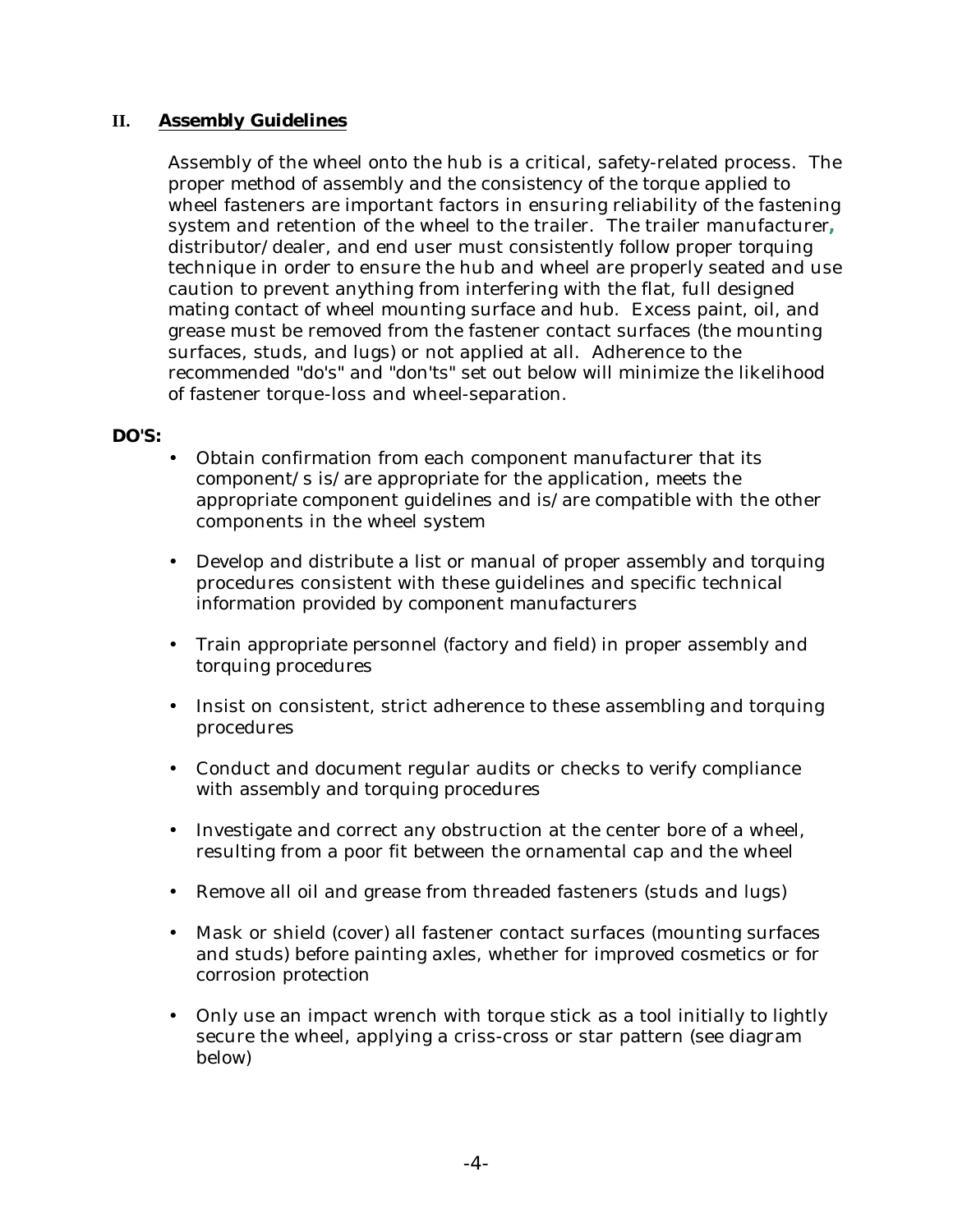#### **II. Assembly Guidelines**

Assembly of the wheel onto the hub is a critical, safety-related process. The proper method of assembly and the consistency of the torque applied to wheel fasteners are important factors in ensuring reliability of the fastening system and retention of the wheel to the trailer. The trailer manufacturer**,**  distributor/dealer, and end user must consistently follow proper torquing technique in order to ensure the hub and wheel are properly seated and use caution to prevent anything from interfering with the flat, full designed mating contact of wheel mounting surface and hub. Excess paint, oil, and grease must be removed from the fastener contact surfaces (the mounting surfaces, studs, and lugs) or not applied at all. Adherence to the recommended "do's" and "don'ts" set out below will minimize the likelihood of fastener torque-loss and wheel-separation.

#### **DO'S:**

- Obtain confirmation from each component manufacturer that its component/s is/are appropriate for the application, meets the appropriate component guidelines and is/are compatible with the other components in the wheel system
- Develop and distribute a list or manual of proper assembly and torquing procedures consistent with these guidelines and specific technical information provided by component manufacturers
- Train appropriate personnel (factory and field) in proper assembly and torquing procedures
- Insist on consistent, strict adherence to these assembling and torquing procedures
- Conduct and document regular audits or checks to verify compliance with assembly and torquing procedures
- Investigate and correct any obstruction at the center bore of a wheel, resulting from a poor fit between the ornamental cap and the wheel
- Remove all oil and grease from threaded fasteners (studs and lugs)
- Mask or shield (cover) all fastener contact surfaces (mounting surfaces and studs) before painting axles, whether for improved cosmetics or for corrosion protection
- Only use an impact wrench with torque stick as a tool initially to lightly secure the wheel, applying a criss-cross or star pattern (see diagram below)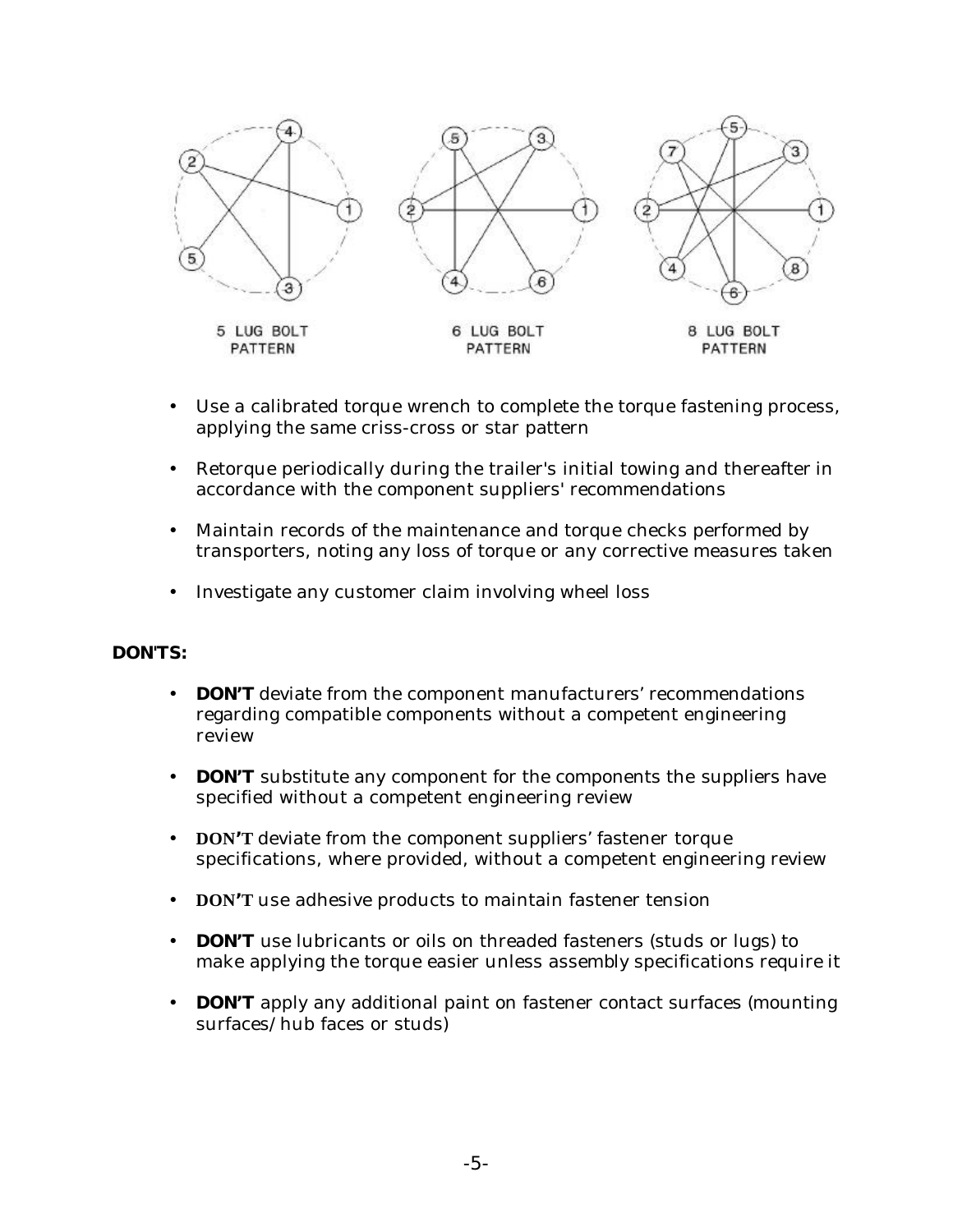

- Use a calibrated torque wrench to complete the torque fastening process, applying the same criss-cross or star pattern
- Retorque periodically during the trailer's initial towing and thereafter in accordance with the component suppliers' recommendations
- Maintain records of the maintenance and torque checks performed by transporters, noting any loss of torque or any corrective measures taken
- Investigate any customer claim involving wheel loss

#### **DON'TS:**

- **DON'T** deviate from the component manufacturers' recommendations regarding compatible components without a competent engineering review
- **DON'T** substitute any component for the components the suppliers have specified without a competent engineering review
- **DON'T** deviate from the component suppliers' fastener torque specifications, where provided, without a competent engineering review
- **DON'T** use adhesive products to maintain fastener tension
- **DON'T** use lubricants or oils on threaded fasteners (studs or lugs) to make applying the torque easier unless assembly specifications require it
- **DON'T** apply any additional paint on fastener contact surfaces (mounting surfaces/hub faces or studs)